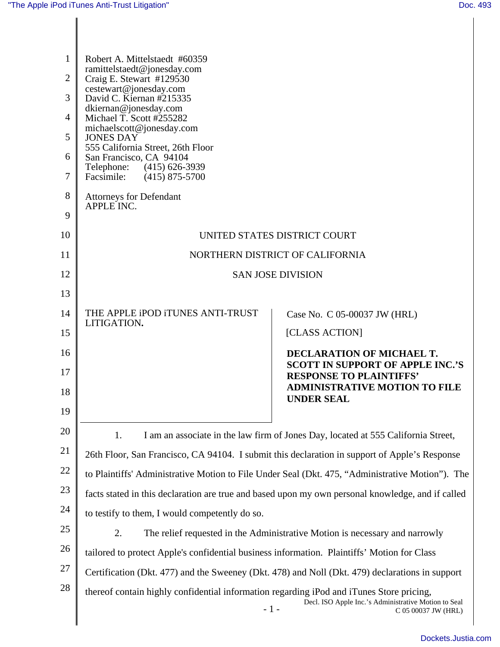| $\mathbf{1}$<br>$\overline{2}$<br>3<br>$\overline{4}$ | Robert A. Mittelstaedt #60359<br>ramittelstaedt@jonesday.com<br>Craig E. Stewart #129530<br>cestewart@jonesday.com<br>David C. Kiernan #215335<br>dkiernan@jonesday.com<br>Michael T. Scott #255282<br>michaelscott@jonesday.com<br><b>JONES DAY</b><br>555 California Street, 26th Floor<br>San Francisco, CA 94104<br>Telephone: (415) 626-3939<br>Facsimile: (415) 875-5700<br><b>Attorneys for Defendant</b> |                                                                        |
|-------------------------------------------------------|------------------------------------------------------------------------------------------------------------------------------------------------------------------------------------------------------------------------------------------------------------------------------------------------------------------------------------------------------------------------------------------------------------------|------------------------------------------------------------------------|
| 5                                                     |                                                                                                                                                                                                                                                                                                                                                                                                                  |                                                                        |
| 6<br>7                                                |                                                                                                                                                                                                                                                                                                                                                                                                                  |                                                                        |
| 8                                                     |                                                                                                                                                                                                                                                                                                                                                                                                                  |                                                                        |
| 9                                                     | APPLE INC.                                                                                                                                                                                                                                                                                                                                                                                                       |                                                                        |
| 10                                                    | UNITED STATES DISTRICT COURT                                                                                                                                                                                                                                                                                                                                                                                     |                                                                        |
| 11                                                    | NORTHERN DISTRICT OF CALIFORNIA                                                                                                                                                                                                                                                                                                                                                                                  |                                                                        |
| 12                                                    | <b>SAN JOSE DIVISION</b>                                                                                                                                                                                                                                                                                                                                                                                         |                                                                        |
| 13                                                    |                                                                                                                                                                                                                                                                                                                                                                                                                  |                                                                        |
| 14                                                    | THE APPLE IPOD ITUNES ANTI-TRUST<br>LITIGATION.                                                                                                                                                                                                                                                                                                                                                                  | Case No. C 05-00037 JW (HRL)                                           |
| 15                                                    |                                                                                                                                                                                                                                                                                                                                                                                                                  | [CLASS ACTION]                                                         |
| 16                                                    |                                                                                                                                                                                                                                                                                                                                                                                                                  | DECLARATION OF MICHAEL T.<br><b>SCOTT IN SUPPORT OF APPLE INC.'S</b>   |
| 17<br>18                                              |                                                                                                                                                                                                                                                                                                                                                                                                                  | <b>RESPONSE TO PLAINTIFFS'</b><br><b>ADMINISTRATIVE MOTION TO FILE</b> |
| 19                                                    |                                                                                                                                                                                                                                                                                                                                                                                                                  | <b>UNDER SEAL</b>                                                      |
| 20                                                    |                                                                                                                                                                                                                                                                                                                                                                                                                  |                                                                        |
| 21                                                    | 1.<br>I am an associate in the law firm of Jones Day, located at 555 California Street,<br>26th Floor, San Francisco, CA 94104. I submit this declaration in support of Apple's Response                                                                                                                                                                                                                         |                                                                        |
| 22                                                    | to Plaintiffs' Administrative Motion to File Under Seal (Dkt. 475, "Administrative Motion"). The                                                                                                                                                                                                                                                                                                                 |                                                                        |
| 23                                                    | facts stated in this declaration are true and based upon my own personal knowledge, and if called                                                                                                                                                                                                                                                                                                                |                                                                        |
| 24                                                    | to testify to them, I would competently do so.                                                                                                                                                                                                                                                                                                                                                                   |                                                                        |
| 25                                                    | 2.<br>The relief requested in the Administrative Motion is necessary and narrowly                                                                                                                                                                                                                                                                                                                                |                                                                        |
| 26                                                    | tailored to protect Apple's confidential business information. Plaintiffs' Motion for Class                                                                                                                                                                                                                                                                                                                      |                                                                        |
| 27                                                    | Certification (Dkt. 477) and the Sweeney (Dkt. 478) and Noll (Dkt. 479) declarations in support                                                                                                                                                                                                                                                                                                                  |                                                                        |
| 28                                                    | thereof contain highly confidential information regarding iPod and iTunes Store pricing,<br>Decl. ISO Apple Inc.'s Administrative Motion to Seal<br>$-1-$<br>C 05 00037 JW (HRL)                                                                                                                                                                                                                                 |                                                                        |